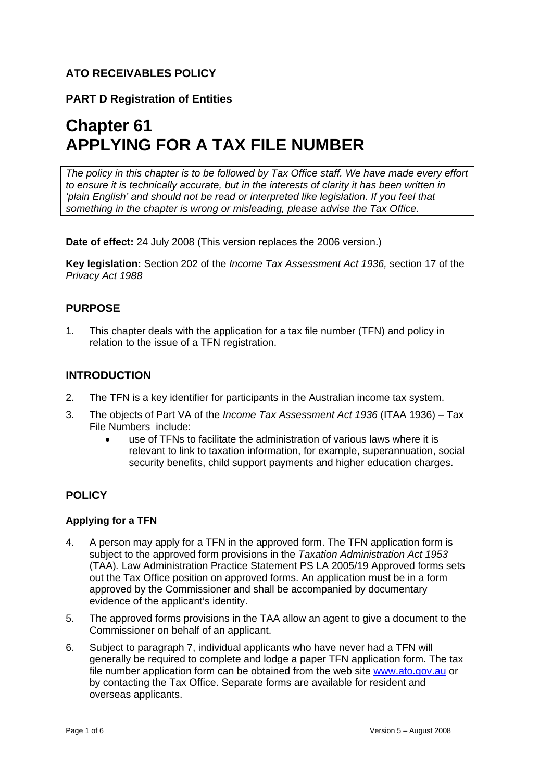# **ATO RECEIVABLES POLICY**

# **PART D Registration of Entities**

# **Chapter 61 APPLYING FOR A TAX FILE NUMBER**

*The policy in this chapter is to be followed by Tax Office staff. We have made every effort to ensure it is technically accurate, but in the interests of clarity it has been written in 'plain English' and should not be read or interpreted like legislation. If you feel that something in the chapter is wrong or misleading, please advise the Tax Office*.

**Date of effect:** 24 July 2008 (This version replaces the 2006 version.)

**Key legislation:** Section 202 of the *Income Tax Assessment Act 1936,* section 17 of the *Privacy Act 1988*

### **PURPOSE**

1. This chapter deals with the application for a tax file number (TFN) and policy in relation to the issue of a TFN registration.

## **INTRODUCTION**

- 2. The TFN is a key identifier for participants in the Australian income tax system.
- 3. The objects of Part VA of the *Income Tax Assessment Act 1936* (ITAA 1936) Tax File Numbers include:
	- use of TFNs to facilitate the administration of various laws where it is relevant to link to taxation information, for example, superannuation, social security benefits, child support payments and higher education charges.

## **POLICY**

#### **Applying for a TFN**

- 4. A person may apply for a TFN in the approved form. The TFN application form is subject to the approved form provisions in the *Taxation Administration Act 1953*  (TAA)*.* Law Administration Practice Statement PS LA 2005/19 Approved forms sets out the Tax Office position on approved forms. An application must be in a form approved by the Commissioner and shall be accompanied by documentary evidence of the applicant's identity.
- 5. The approved forms provisions in the TAA allow an agent to give a document to the Commissioner on behalf of an applicant.
- 6. Subject to paragraph 7, individual applicants who have never had a TFN will generally be required to complete and lodge a paper TFN application form. The tax file number application form can be obtained from the web site www.ato.gov.au or by contacting the Tax Office. Separate forms are available for resident and overseas applicants.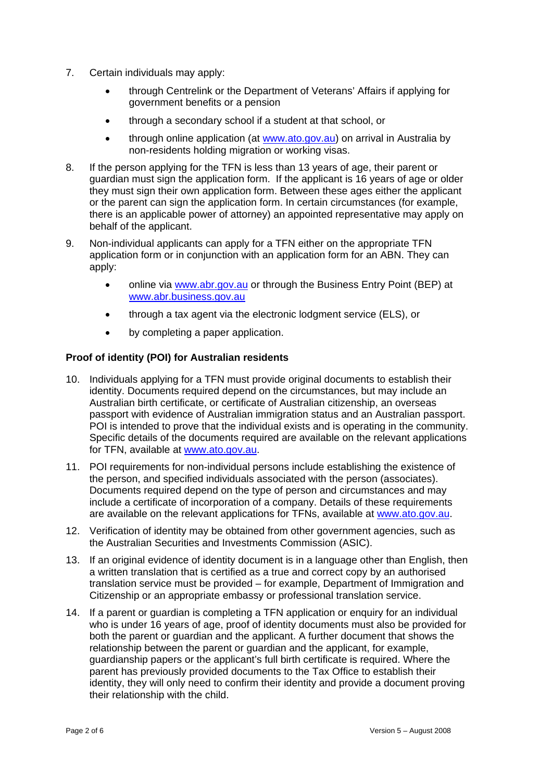- 7. Certain individuals may apply:
	- through Centrelink or the Department of Veterans' Affairs if applying for government benefits or a pension
	- through a secondary school if a student at that school, or
	- through online application (at www.ato.gov.au) on arrival in Australia by non-residents holding migration or working visas.
- 8. If the person applying for the TFN is less than 13 years of age, their parent or guardian must sign the application form. If the applicant is 16 years of age or older they must sign their own application form. Between these ages either the applicant or the parent can sign the application form. In certain circumstances (for example, there is an applicable power of attorney) an appointed representative may apply on behalf of the applicant.
- 9. Non-individual applicants can apply for a TFN either on the appropriate TFN application form or in conjunction with an application form for an ABN. They can apply:
	- online via www.abr.gov.au or through the Business Entry Point (BEP) at www.abr.business.gov.au
	- through a tax agent via the electronic lodgment service (ELS), or
	- by completing a paper application.

#### **Proof of identity (POI) for Australian residents**

- 10. Individuals applying for a TFN must provide original documents to establish their identity. Documents required depend on the circumstances, but may include an Australian birth certificate, or certificate of Australian citizenship, an overseas passport with evidence of Australian immigration status and an Australian passport. POI is intended to prove that the individual exists and is operating in the community. Specific details of the documents required are available on the relevant applications for TFN, available at www.ato.gov.au.
- 11. POI requirements for non-individual persons include establishing the existence of the person, and specified individuals associated with the person (associates). Documents required depend on the type of person and circumstances and may include a certificate of incorporation of a company. Details of these requirements are available on the relevant applications for TFNs, available at www.ato.gov.au.
- 12. Verification of identity may be obtained from other government agencies, such as the Australian Securities and Investments Commission (ASIC).
- 13. If an original evidence of identity document is in a language other than English, then a written translation that is certified as a true and correct copy by an authorised translation service must be provided – for example, Department of Immigration and Citizenship or an appropriate embassy or professional translation service.
- 14. If a parent or guardian is completing a TFN application or enquiry for an individual who is under 16 years of age, proof of identity documents must also be provided for both the parent or guardian and the applicant. A further document that shows the relationship between the parent or guardian and the applicant, for example, guardianship papers or the applicant's full birth certificate is required. Where the parent has previously provided documents to the Tax Office to establish their identity, they will only need to confirm their identity and provide a document proving their relationship with the child.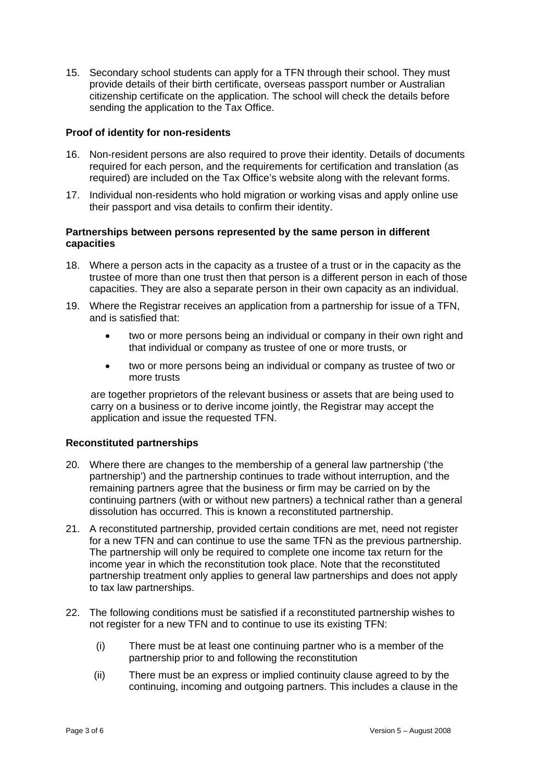15. Secondary school students can apply for a TFN through their school. They must provide details of their birth certificate, overseas passport number or Australian citizenship certificate on the application. The school will check the details before sending the application to the Tax Office.

#### **Proof of identity for non-residents**

- 16. Non-resident persons are also required to prove their identity. Details of documents required for each person, and the requirements for certification and translation (as required) are included on the Tax Office's website along with the relevant forms.
- 17. Individual non-residents who hold migration or working visas and apply online use their passport and visa details to confirm their identity.

#### **Partnerships between persons represented by the same person in different capacities**

- 18. Where a person acts in the capacity as a trustee of a trust or in the capacity as the trustee of more than one trust then that person is a different person in each of those capacities. They are also a separate person in their own capacity as an individual.
- 19. Where the Registrar receives an application from a partnership for issue of a TFN, and is satisfied that:
	- two or more persons being an individual or company in their own right and that individual or company as trustee of one or more trusts, or
	- two or more persons being an individual or company as trustee of two or more trusts

are together proprietors of the relevant business or assets that are being used to carry on a business or to derive income jointly, the Registrar may accept the application and issue the requested TFN.

#### **Reconstituted partnerships**

- 20. Where there are changes to the membership of a general law partnership ('the partnership') and the partnership continues to trade without interruption, and the remaining partners agree that the business or firm may be carried on by the continuing partners (with or without new partners) a technical rather than a general dissolution has occurred. This is known a reconstituted partnership.
- 21. A reconstituted partnership, provided certain conditions are met, need not register for a new TFN and can continue to use the same TFN as the previous partnership. The partnership will only be required to complete one income tax return for the income year in which the reconstitution took place. Note that the reconstituted partnership treatment only applies to general law partnerships and does not apply to tax law partnerships.
- 22. The following conditions must be satisfied if a reconstituted partnership wishes to not register for a new TFN and to continue to use its existing TFN:
	- (i) There must be at least one continuing partner who is a member of the partnership prior to and following the reconstitution
	- (ii) There must be an express or implied continuity clause agreed to by the continuing, incoming and outgoing partners. This includes a clause in the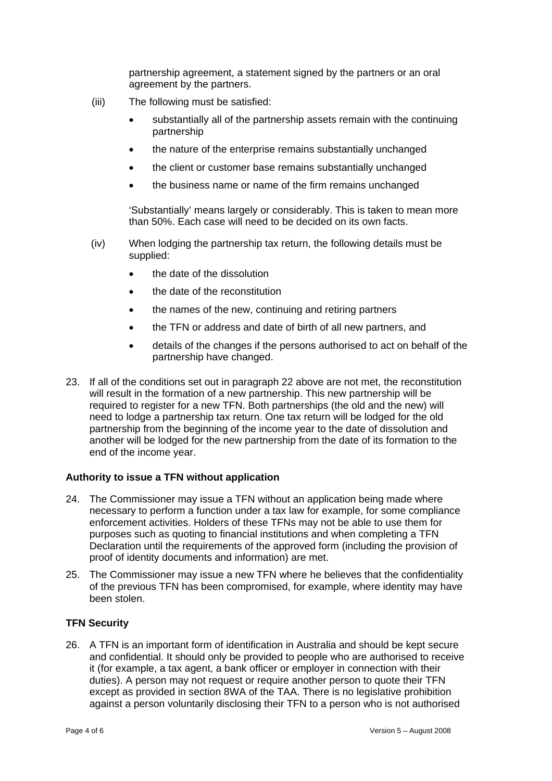partnership agreement, a statement signed by the partners or an oral agreement by the partners.

- (iii) The following must be satisfied:
	- substantially all of the partnership assets remain with the continuing partnership
	- the nature of the enterprise remains substantially unchanged
	- the client or customer base remains substantially unchanged
	- the business name or name of the firm remains unchanged

'Substantially' means largely or considerably. This is taken to mean more than 50%. Each case will need to be decided on its own facts.

- (iv) When lodging the partnership tax return, the following details must be supplied:
	- the date of the dissolution
	- the date of the reconstitution
	- the names of the new, continuing and retiring partners
	- the TFN or address and date of birth of all new partners, and
	- details of the changes if the persons authorised to act on behalf of the partnership have changed.
- 23. If all of the conditions set out in paragraph 22 above are not met, the reconstitution will result in the formation of a new partnership. This new partnership will be required to register for a new TFN. Both partnerships (the old and the new) will need to lodge a partnership tax return. One tax return will be lodged for the old partnership from the beginning of the income year to the date of dissolution and another will be lodged for the new partnership from the date of its formation to the end of the income year.

#### **Authority to issue a TFN without application**

- 24. The Commissioner may issue a TFN without an application being made where necessary to perform a function under a tax law for example, for some compliance enforcement activities. Holders of these TFNs may not be able to use them for purposes such as quoting to financial institutions and when completing a TFN Declaration until the requirements of the approved form (including the provision of proof of identity documents and information) are met.
- 25. The Commissioner may issue a new TFN where he believes that the confidentiality of the previous TFN has been compromised, for example, where identity may have been stolen.

#### **TFN Security**

26. A TFN is an important form of identification in Australia and should be kept secure and confidential. It should only be provided to people who are authorised to receive it (for example, a tax agent, a bank officer or employer in connection with their duties). A person may not request or require another person to quote their TFN except as provided in section 8WA of the TAA. There is no legislative prohibition against a person voluntarily disclosing their TFN to a person who is not authorised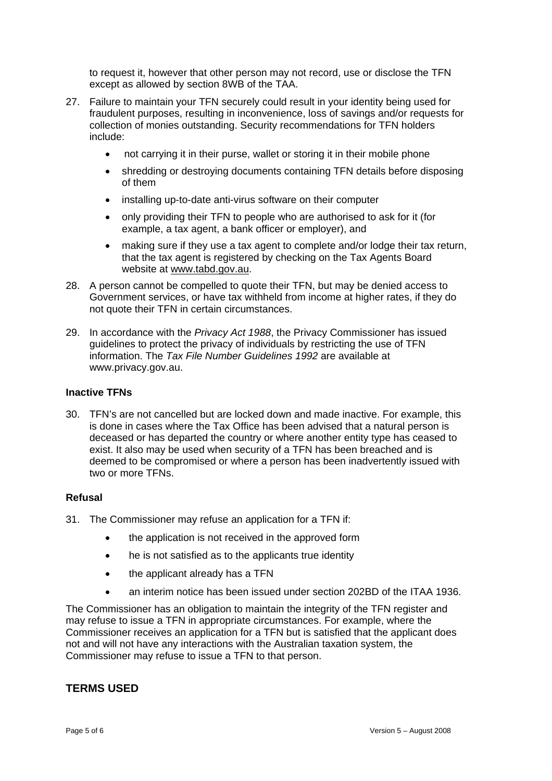to request it, however that other person may not record, use or disclose the TFN except as allowed by section 8WB of the TAA.

- 27. Failure to maintain your TFN securely could result in your identity being used for fraudulent purposes, resulting in inconvenience, loss of savings and/or requests for collection of monies outstanding. Security recommendations for TFN holders include:
	- not carrying it in their purse, wallet or storing it in their mobile phone
	- shredding or destroying documents containing TFN details before disposing of them
	- installing up-to-date anti-virus software on their computer
	- only providing their TFN to people who are authorised to ask for it (for example, a tax agent, a bank officer or employer), and
	- making sure if they use a tax agent to complete and/or lodge their tax return, that the tax agent is registered by checking on the Tax Agents Board website at www.tabd.gov.au.
- 28. A person cannot be compelled to quote their TFN, but may be denied access to Government services, or have tax withheld from income at higher rates, if they do not quote their TFN in certain circumstances.
- 29. In accordance with the *Privacy Act 1988*, the Privacy Commissioner has issued guidelines to protect the privacy of individuals by restricting the use of TFN information. The *Tax File Number Guidelines 1992* are available at www.privacy.gov.au.

#### **Inactive TFNs**

30. TFN's are not cancelled but are locked down and made inactive. For example, this is done in cases where the Tax Office has been advised that a natural person is deceased or has departed the country or where another entity type has ceased to exist. It also may be used when security of a TFN has been breached and is deemed to be compromised or where a person has been inadvertently issued with two or more TFNs.

#### **Refusal**

- 31. The Commissioner may refuse an application for a TFN if:
	- the application is not received in the approved form
	- he is not satisfied as to the applicants true identity
	- the applicant already has a TFN
	- an interim notice has been issued under section 202BD of the ITAA 1936.

The Commissioner has an obligation to maintain the integrity of the TFN register and may refuse to issue a TFN in appropriate circumstances. For example, where the Commissioner receives an application for a TFN but is satisfied that the applicant does not and will not have any interactions with the Australian taxation system, the Commissioner may refuse to issue a TFN to that person.

#### **TERMS USED**